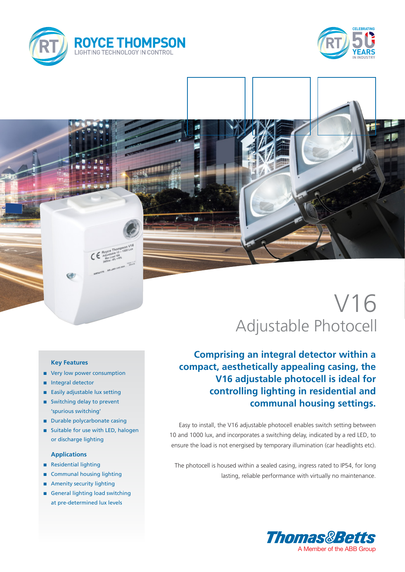



# V16 Adjustable Photocell

**Comprising an integral detector within a compact, aesthetically appealing casing, the V16 adjustable photocell is ideal for controlling lighting in residential and communal housing settings.**

Easy to install, the V16 adjustable photocell enables switch setting between 10 and 1000 lux, and incorporates a switching delay, indicated by a red LED, to ensure the load is not energised by temporary illumination (car headlights etc).

The photocell is housed within a sealed casing, ingress rated to IP54, for long lasting, reliable performance with virtually no maintenance.



#### **Key Features**

- very low power consumption
- n Integral detector
- n Easily adjustable lux setting
- Switching delay to prevent 'spurious switching'
- **n** Durable polycarbonate casing
- Suitable for use with LED, halogen or discharge lighting

### **Applications**

- n Residential lighting
- Communal housing lighting
- **n** Amenity security lighting
- General lighting load switching at pre-determined lux levels